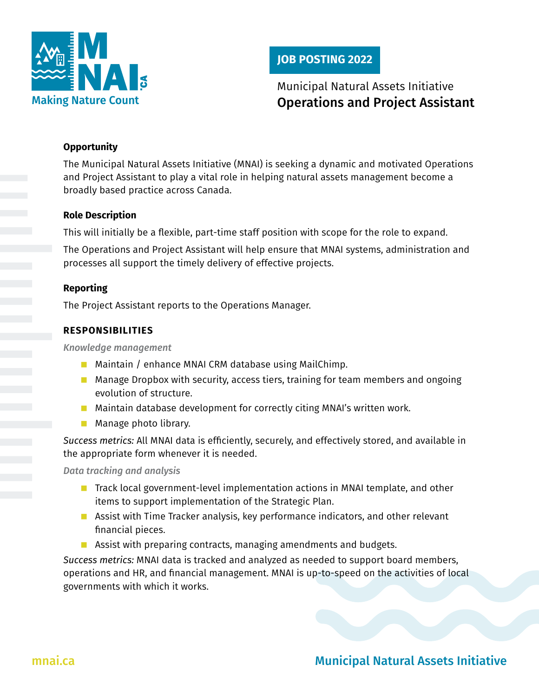

## **JOB POSTING 2022**

# Municipal Natural Assets Initiative Operations and Project Assistant

#### **Opportunity**

The Municipal Natural Assets Initiative (MNAI) is seeking a dynamic and motivated Operations and Project Assistant to play a vital role in helping natural assets management become a broadly based practice across Canada.

#### **Role Description**

This will initially be a flexible, part-time staff position with scope for the role to expand.

The Operations and Project Assistant will help ensure that MNAI systems, administration and processes all support the timely delivery of effective projects.

#### **Reporting**

The Project Assistant reports to the Operations Manager.

#### **RESPONSIBILITIES**

*Knowledge management*

- Maintain / enhance MNAI CRM database using MailChimp.
- Manage Dropbox with security, access tiers, training for team members and ongoing evolution of structure.
- $\blacksquare$  Maintain database development for correctly citing MNAI's written work.
- **Manage photo library.**

*Success metrics:* All MNAI data is efficiently, securely, and effectively stored, and available in the appropriate form whenever it is needed.

*Data tracking and analysis*

- Track local government-level implementation actions in MNAI template, and other items to support implementation of the Strategic Plan.
- **Assist with Time Tracker analysis, key performance indicators, and other relevant** financial pieces.
- Assist with preparing contracts, managing amendments and budgets.

*Success metrics:* MNAI data is tracked and analyzed as needed to support board members, operations and HR, and financial management. MNAI is up-to-speed on the activities of local governments with which it works.

# [mnai.ca](http://mnai.ca) **Municipal Natural Assets Initiative**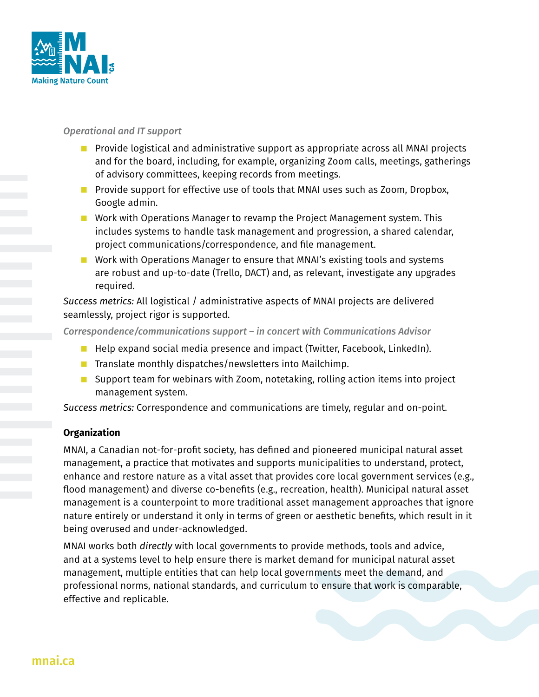

#### *Operational and IT support*

- **Provide logistical and administrative support as appropriate across all MNAI projects** and for the board, including, for example, organizing Zoom calls, meetings, gatherings of advisory committees, keeping records from meetings.
- **Provide support for effective use of tools that MNAI uses such as Zoom, Dropbox,** Google admin.
- **Noth** Work with Operations Manager to revamp the Project Management system. This includes systems to handle task management and progression, a shared calendar, project communications/correspondence, and file management.
- Work with Operations Manager to ensure that MNAI's existing tools and systems are robust and up-to-date (Trello, DACT) and, as relevant, investigate any upgrades required.

*Success metrics:* All logistical / administrative aspects of MNAI projects are delivered seamlessly, project rigor is supported.

*Correspondence/communications support – in concert with Communications Advisor*

- **Help expand social media presence and impact (Twitter, Facebook, LinkedIn).**
- **The Translate monthly dispatches/newsletters into Mailchimp.**
- Support team for webinars with Zoom, notetaking, rolling action items into project management system.

*Success metrics:* Correspondence and communications are timely, regular and on-point.

### **Organization**

MNAI, a Canadian not-for-profit society, has defined and pioneered municipal natural asset management, a practice that motivates and supports municipalities to understand, protect, enhance and restore nature as a vital asset that provides core local government services (e.g., flood management) and diverse co-benefits (e.g., recreation, health). Municipal natural asset management is a counterpoint to more traditional asset management approaches that ignore nature entirely or understand it only in terms of green or aesthetic benefits, which result in it being overused and under-acknowledged.

MNAI works both *directly* with local governments to provide methods, tools and advice, and at a systems level to help ensure there is market demand for municipal natural asset management, multiple entities that can help local governments meet the demand, and professional norms, national standards, and curriculum to ensure that work is comparable, effective and replicable.